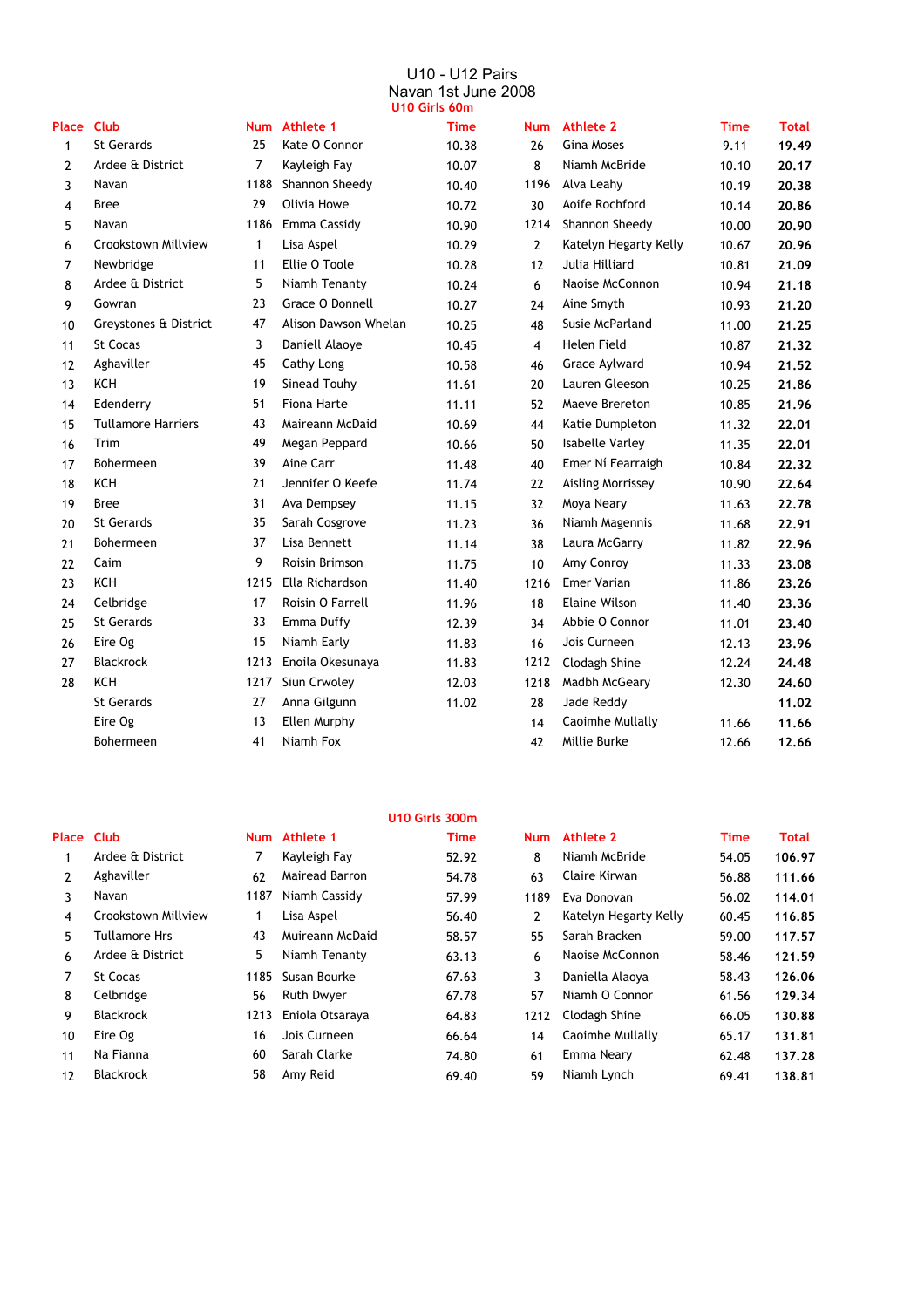#### U10 - U12 Pairs Navan 1st June 2008 **U10 Girls 60m**

|                   |                           |      |                      | וווטט כו ווט טו ט |                |                        |             |              |
|-------------------|---------------------------|------|----------------------|-------------------|----------------|------------------------|-------------|--------------|
| <b>Place Club</b> |                           |      | Num Athlete 1        | <b>Time</b>       | <b>Num</b>     | <b>Athlete 2</b>       | <b>Time</b> | <b>Total</b> |
| $\mathbf{1}$      | St Gerards                | 25   | Kate O Connor        | 10.38             | 26             | <b>Gina Moses</b>      | 9.11        | 19.49        |
| 2                 | Ardee & District          | 7    | Kayleigh Fay         | 10.07             | 8              | Niamh McBride          | 10.10       | 20.17        |
| 3                 | Navan                     | 1188 | Shannon Sheedy       | 10.40             | 1196           | Alva Leahy             | 10.19       | 20.38        |
| 4                 | <b>Bree</b>               | 29   | Olivia Howe          | 10.72             | 30             | Aoife Rochford         | 10.14       | 20.86        |
| 5                 | Navan                     | 1186 | Emma Cassidy         | 10.90             | 1214           | Shannon Sheedy         | 10.00       | 20.90        |
| 6                 | Crookstown Millview       | 1    | Lisa Aspel           | 10.29             | $\overline{2}$ | Katelyn Hegarty Kelly  | 10.67       | 20.96        |
| 7                 | Newbridge                 | 11   | Ellie O Toole        | 10.28             | 12             | Julia Hilliard         | 10.81       | 21.09        |
| 8                 | Ardee & District          | 5    | Niamh Tenanty        | 10.24             | 6              | Naoise McConnon        | 10.94       | 21.18        |
| 9                 | Gowran                    | 23   | Grace O Donnell      | 10.27             | 24             | Aine Smyth             | 10.93       | 21.20        |
| 10                | Greystones & District     | 47   | Alison Dawson Whelan | 10.25             | 48             | Susie McParland        | 11.00       | 21.25        |
| 11                | St Cocas                  | 3    | Daniell Alaoye       | 10.45             | $\overline{4}$ | Helen Field            | 10.87       | 21.32        |
| 12                | Aghaviller                | 45   | Cathy Long           | 10.58             | 46             | Grace Aylward          | 10.94       | 21.52        |
| 13                | <b>KCH</b>                | 19   | Sinead Touhy         | 11.61             | 20             | Lauren Gleeson         | 10.25       | 21.86        |
| 14                | Edenderry                 | 51   | Fiona Harte          | 11.11             | 52             | Maeve Brereton         | 10.85       | 21.96        |
| 15                | <b>Tullamore Harriers</b> | 43   | Maireann McDaid      | 10.69             | 44             | Katie Dumpleton        | 11.32       | 22.01        |
| 16                | Trim                      | 49   | Megan Peppard        | 10.66             | 50             | <b>Isabelle Varley</b> | 11.35       | 22.01        |
| 17                | <b>Bohermeen</b>          | 39   | Aine Carr            | 11.48             | 40             | Emer Ní Fearraigh      | 10.84       | 22.32        |
| 18                | <b>KCH</b>                | 21   | Jennifer O Keefe     | 11.74             | 22             | Aisling Morrissey      | 10.90       | 22.64        |
| 19                | <b>Bree</b>               | 31   | Ava Dempsey          | 11.15             | 32             | Moya Neary             | 11.63       | 22.78        |
| 20                | St Gerards                | 35   | Sarah Cosgrove       | 11.23             | 36             | Niamh Magennis         | 11.68       | 22.91        |
| 21                | Bohermeen                 | 37   | Lisa Bennett         | 11.14             | 38             | Laura McGarry          | 11.82       | 22.96        |
| 22                | Caim                      | 9    | Roisin Brimson       | 11.75             | 10             | Amy Conroy             | 11.33       | 23.08        |
| 23                | <b>KCH</b>                | 1215 | Ella Richardson      | 11.40             | 1216           | Emer Varian            | 11.86       | 23.26        |
| 24                | Celbridge                 | 17   | Roisin O Farrell     | 11.96             | 18             | <b>Elaine Wilson</b>   | 11.40       | 23.36        |
| 25                | St Gerards                | 33   | Emma Duffy           | 12.39             | 34             | Abbie O Connor         | 11.01       | 23.40        |
| 26                | Eire Og                   | 15   | Niamh Early          | 11.83             | 16             | Jois Curneen           | 12.13       | 23.96        |
| 27                | <b>Blackrock</b>          | 1213 | Enoila Okesunaya     | 11.83             | 1212           | Clodagh Shine          | 12.24       | 24.48        |
| 28                | <b>KCH</b>                | 1217 | Siun Crwoley         | 12.03             | 1218           | Madbh McGeary          | 12.30       | 24.60        |
|                   | St Gerards                | 27   | Anna Gilgunn         | 11.02             | 28             | Jade Reddy             |             | 11.02        |
|                   | Eire Og                   | 13   | Ellen Murphy         |                   | 14             | Caoimhe Mullally       | 11.66       | 11.66        |
|                   | <b>Bohermeen</b>          | 41   | Niamh Fox            |                   | 42             | Millie Burke           | 12.66       | 12.66        |
|                   |                           |      |                      |                   |                |                        |             |              |

#### **U10 Girls 300m Place Club Athlete 1 Time Athlete 2 Time Total** 1 7 52.92 8 Niamh McBride 54.05 **106.97** Ardee & District Kayleigh Fay 2 62 54.78 63 56.88 **111.66** Aghaviller Mairead Barron Claire Kirwan 3 1187 57.99 1189 Eva Donovan 56.02 **114.01** Navan Niamh Cassidy 4 1 56.40 2 60.45 **116.85** Crookstown Millview Lisa Aspel Katelyn Hegarty Kelly 5 Tullamore Hrs 43 Muireann McDaid 58.57 55 Sarah Bracken 59.00 **117.57** 6 Ardee & District **5 5 5 6 5 1 6 5 6 121.59** 6 63.13 6 Naoise McConnon 58.46 121.59 7 St Cocas **1185 Susan Bourke** 67.63 3 Daniella Alaoya 58.43 126.06 8 56 67.78 57 61.56 **129.34** Celbridge Ruth Dwyer Niamh O Connor 9 1213 64.83 1212 66.05 **130.88** Blackrock Eniola Otsaraya Clodagh Shine 10 16 66.64 14 65.17 **131.81** Eire Og Jois Curneen Caoimhe Mullally **Num Num** Daniella Alaoya

11 60 Sarah Clarke 74.80 61 62.48 **137.28** 12 58 Amy Reid 69.40 59 Niamh Lynch 69.41 **138.81**

Na Fianna **Emma Neary** 60 Sarah Clarke **Emma Neary** 74.80 61 Emma Neary

Blackrock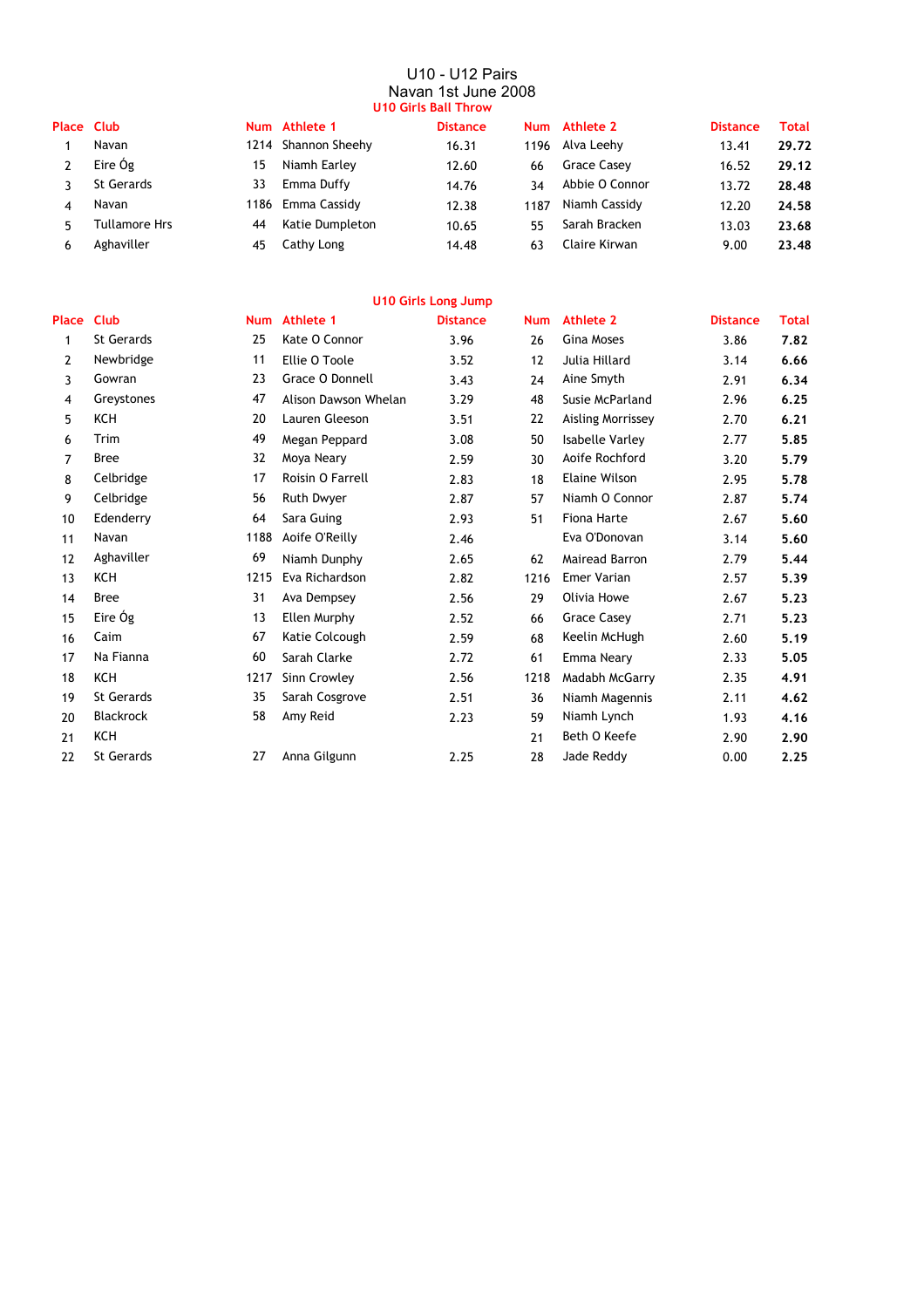#### U10 - U12 Pairs Navan 1st June 2008 **U10 Girls Ball Throw**

| Place Club |                      |     | Num Athlete 1       | <b>Distance</b> |      | Num Athlete 2   | <b>Distance</b> | Total |  |  |  |
|------------|----------------------|-----|---------------------|-----------------|------|-----------------|-----------------|-------|--|--|--|
|            | Navan                |     | 1214 Shannon Sheehy | 16.31           |      | 1196 Alva Leehy | 13.41           | 29.72 |  |  |  |
|            | Eire Óg              | 15  | Niamh Earley        | 12.60           | 66   | Grace Casey     | 16.52           | 29.12 |  |  |  |
|            | <b>St Gerards</b>    | 33. | Emma Duffy          | 14.76           | 34   | Abbie O Connor  | 13.72           | 28.48 |  |  |  |
|            | Navan                |     | 1186 Emma Cassidy   | 12.38           | 1187 | Niamh Cassidy   | 12.20           | 24.58 |  |  |  |
|            | <b>Tullamore Hrs</b> | 44  | Katie Dumpleton     | 10.65           | 55   | Sarah Bracken   | 13.03           | 23.68 |  |  |  |
| h          | Aghaviller           | 45  | Cathy Long          | 14.48           | 63   | Claire Kirwan   | 9.00            | 23.48 |  |  |  |
|            |                      |     |                     |                 |      |                 |                 |       |  |  |  |

|                |                   |            |                      | <b>U10 Girls Long Jump</b> |            |                        |                 |              |
|----------------|-------------------|------------|----------------------|----------------------------|------------|------------------------|-----------------|--------------|
| Place          | <b>Club</b>       | <b>Num</b> | Athlete 1            | <b>Distance</b>            | <b>Num</b> | Athlete 2              | <b>Distance</b> | <b>Total</b> |
| 1              | <b>St Gerards</b> | 25         | Kate O Connor        | 3.96                       | 26         | <b>Gina Moses</b>      | 3.86            | 7.82         |
| $\overline{2}$ | Newbridge         | 11         | Ellie O Toole        | 3.52                       | 12         | Julia Hillard          | 3.14            | 6.66         |
| 3              | Gowran            | 23         | Grace O Donnell      | 3.43                       | 24         | Aine Smyth             | 2.91            | 6.34         |
| $\overline{4}$ | Greystones        | 47         | Alison Dawson Whelan | 3.29                       | 48         | Susie McParland        | 2.96            | 6.25         |
| 5              | <b>KCH</b>        | 20         | Lauren Gleeson       | 3.51                       | 22         | Aisling Morrissey      | 2.70            | 6.21         |
| 6              | Trim              | 49         | Megan Peppard        | 3.08                       | 50         | <b>Isabelle Varley</b> | 2.77            | 5.85         |
| 7              | <b>Bree</b>       | 32         | Moya Neary           | 2.59                       | 30         | Aoife Rochford         | 3.20            | 5.79         |
| 8              | Celbridge         | 17         | Roisin O Farrell     | 2.83                       | 18         | Elaine Wilson          | 2.95            | 5.78         |
| 9              | Celbridge         | 56         | Ruth Dwyer           | 2.87                       | 57         | Niamh O Connor         | 2.87            | 5.74         |
| 10             | Edenderry         | 64         | Sara Guing           | 2.93                       | 51         | Fiona Harte            | 2.67            | 5.60         |
| 11             | Navan             | 1188       | Aoife O'Reilly       | 2.46                       |            | Eva O'Donovan          | 3.14            | 5.60         |
| 12             | Aghaviller        | 69         | Niamh Dunphy         | 2.65                       | 62         | Mairead Barron         | 2.79            | 5.44         |
| 13             | <b>KCH</b>        | 1215       | Eva Richardson       | 2.82                       | 1216       | <b>Emer Varian</b>     | 2.57            | 5.39         |
| 14             | <b>Bree</b>       | 31         | Ava Dempsey          | 2.56                       | 29         | Olivia Howe            | 2.67            | 5.23         |
| 15             | Eire Óg           | 13         | Ellen Murphy         | 2.52                       | 66         | <b>Grace Casey</b>     | 2.71            | 5.23         |
| 16             | Caim              | 67         | Katie Colcough       | 2.59                       | 68         | Keelin McHugh          | 2.60            | 5.19         |
| 17             | Na Fianna         | 60         | Sarah Clarke         | 2.72                       | 61         | Emma Neary             | 2.33            | 5.05         |
| 18             | <b>KCH</b>        | 1217       | Sinn Crowley         | 2.56                       | 1218       | Madabh McGarry         | 2.35            | 4.91         |
| 19             | St Gerards        | 35         | Sarah Cosgrove       | 2.51                       | 36         | Niamh Magennis         | 2.11            | 4.62         |
| 20             | <b>Blackrock</b>  | 58         | Amy Reid             | 2.23                       | 59         | Niamh Lynch            | 1.93            | 4.16         |
| 21             | <b>KCH</b>        |            |                      |                            | 21         | Beth O Keefe           | 2.90            | 2.90         |
| 22             | <b>St Gerards</b> | 27         | Anna Gilgunn         | 2.25                       | 28         | Jade Reddy             | 0.00            | 2.25         |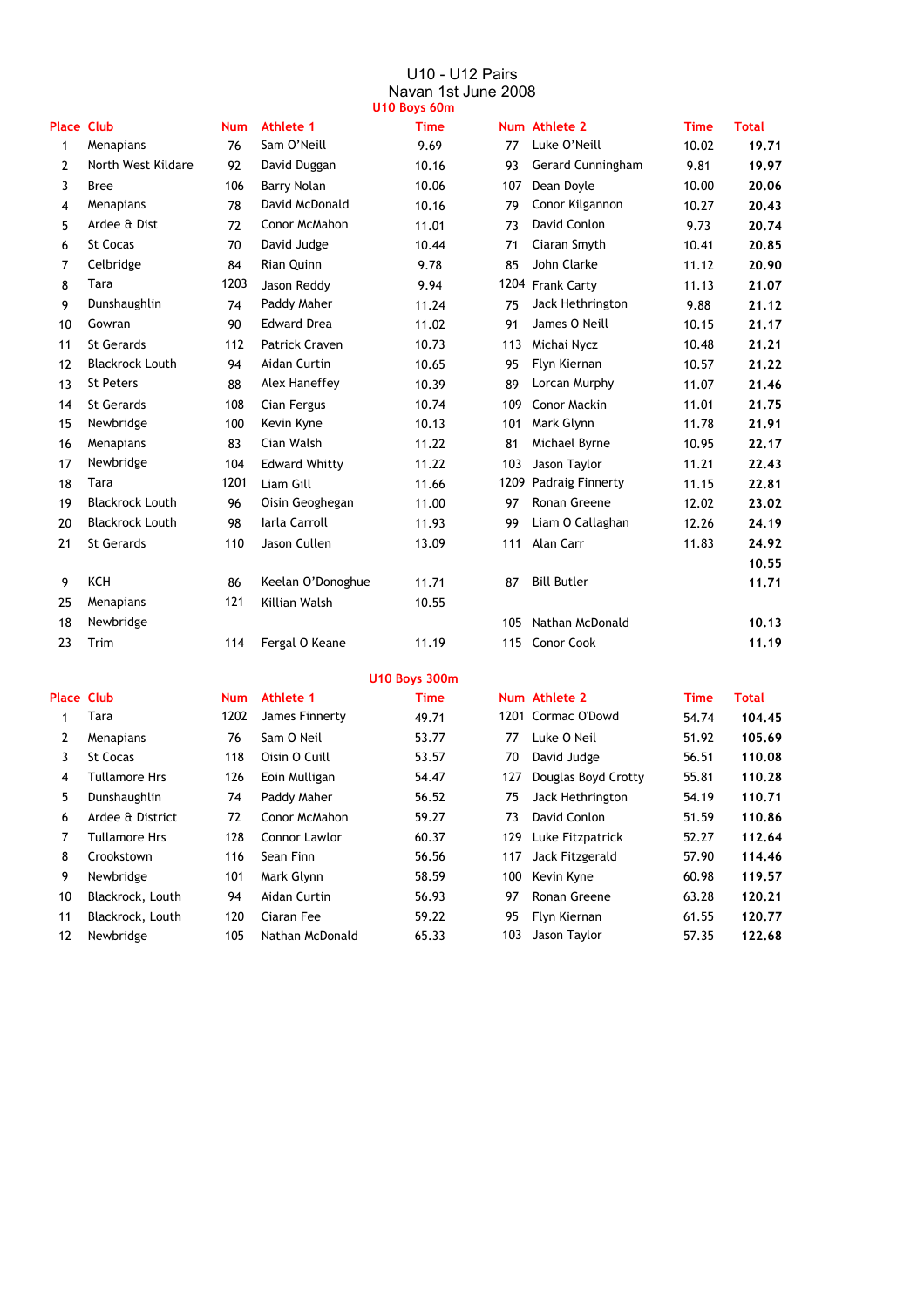#### U10 - U12 Pairs Navan 1st June 2008 **U10 Boys 60m**

| <b>Place Club</b> |                        | <b>Num</b> | <b>Athlete 1</b>      | <b>Time</b> |      | Num Athlete 2      | <b>Time</b> | <b>Total</b> |
|-------------------|------------------------|------------|-----------------------|-------------|------|--------------------|-------------|--------------|
| $\mathbf{1}$      | Menapians              | 76         | Sam O'Neill           | 9.69        | 77   | Luke O'Neill       | 10.02       | 19.71        |
| 2                 | North West Kildare     | 92         | David Duggan          | 10.16       | 93   | Gerard Cunningham  | 9.81        | 19.97        |
| 3                 | <b>Bree</b>            | 106        | <b>Barry Nolan</b>    | 10.06       | 107  | Dean Doyle         | 10.00       | 20.06        |
| 4                 | Menapians              | 78         | David McDonald        | 10.16       | 79   | Conor Kilgannon    | 10.27       | 20.43        |
| 5                 | Ardee & Dist           | 72         | Conor McMahon         | 11.01       | 73   | David Conlon       | 9.73        | 20.74        |
| 6                 | <b>St Cocas</b>        | 70         | David Judge           | 10.44       | 71   | Ciaran Smyth       | 10.41       | 20.85        |
| 7                 | Celbridge              | 84         | Rian Quinn            | 9.78        | 85   | John Clarke        | 11.12       | 20.90        |
| 8                 | Tara                   | 1203       | Jason Reddy           | 9.94        |      | 1204 Frank Carty   | 11.13       | 21.07        |
| 9                 | Dunshaughlin           | 74         | Paddy Maher           | 11.24       | 75   | Jack Hethrington   | 9.88        | 21.12        |
| 10                | Gowran                 | 90         | <b>Edward Drea</b>    | 11.02       | 91   | James O Neill      | 10.15       | 21.17        |
| 11                | St Gerards             | 112        | <b>Patrick Craven</b> | 10.73       | 113  | Michai Nycz        | 10.48       | 21.21        |
| 12                | <b>Blackrock Louth</b> | 94         | Aidan Curtin          | 10.65       | 95   | Flyn Kiernan       | 10.57       | 21.22        |
| 13                | St Peters              | 88         | Alex Haneffey         | 10.39       | 89   | Lorcan Murphy      | 11.07       | 21.46        |
| 14                | St Gerards             | 108        | Cian Fergus           | 10.74       | 109  | Conor Mackin       | 11.01       | 21.75        |
| 15                | Newbridge              | 100        | Kevin Kyne            | 10.13       | 101  | Mark Glynn         | 11.78       | 21.91        |
| 16                | Menapians              | 83         | Cian Walsh            | 11.22       | 81   | Michael Byrne      | 10.95       | 22.17        |
| 17                | Newbridge              | 104        | <b>Edward Whitty</b>  | 11.22       | 103  | Jason Taylor       | 11.21       | 22.43        |
| 18                | Tara                   | 1201       | Liam Gill             | 11.66       | 1209 | Padraig Finnerty   | 11.15       | 22.81        |
| 19                | <b>Blackrock Louth</b> | 96         | Oisin Geoghegan       | 11.00       | 97   | Ronan Greene       | 12.02       | 23.02        |
| 20                | <b>Blackrock Louth</b> | 98         | Iarla Carroll         | 11.93       | 99   | Liam O Callaghan   | 12.26       | 24.19        |
| 21                | <b>St Gerards</b>      | 110        | Jason Cullen          | 13.09       | 111  | Alan Carr          | 11.83       | 24.92        |
|                   |                        |            |                       |             |      |                    |             | 10.55        |
| 9                 | <b>KCH</b>             | 86         | Keelan O'Donoghue     | 11.71       | 87   | <b>Bill Butler</b> |             | 11.71        |
| 25                | Menapians              | 121        | Killian Walsh         | 10.55       |      |                    |             |              |
| 18                | Newbridge              |            |                       |             | 105  | Nathan McDonald    |             | 10.13        |
| 23                | Trim                   | 114        | Fergal O Keane        | 11.19       | 115  | Conor Cook         |             | 11.19        |
|                   |                        |            |                       |             |      |                    |             |              |

|      | Num Athlete 2      | <b>Time</b> | <b>Total</b> |
|------|--------------------|-------------|--------------|
| 77   | Luke O'Neill       | 10.02       | 19.71        |
| 93   | Gerard Cunningham  | 9.81        | 19.97        |
| 107  | Dean Doyle         | 10.00       | 20.06        |
| 79   | Conor Kilgannon    | 10.27       | 20.43        |
| 73   | David Conlon       | 9.73        | 20.74        |
| 71   | Ciaran Smyth       | 10.41       | 20.85        |
| 85   | John Clarke        | 11.12       | 20.90        |
| 1204 | <b>Frank Carty</b> | 11.13       | 21.07        |
| 75   | Jack Hethrington   | 9.88        | 21.12        |
| 91   | James O Neill      | 10.15       | 21.17        |
| 113  | Michai Nycz        | 10.48       | 21.21        |
| 95   | Flyn Kiernan       | 10.57       | 21.22        |
| 89   | Lorcan Murphy      | 11.07       | 21.46        |
| 109  | Conor Mackin       | 11.01       | 21.75        |
| 101  | Mark Glynn         | 11.78       | 21.91        |
| 81   | Michael Byrne      | 10.95       | 22.17        |
| 103  | Jason Taylor       | 11.21       | 22.43        |
| 1209 | Padraig Finnerty   | 11.15       | 22.81        |
| 97   | Ronan Greene       | 12.02       | 23.02        |
| 99   | Liam O Callaghan   | 12.26       | 24.19        |
| 111  | Alan Carr          | 11.83       | 24.92        |
|      |                    |             | 10.55        |
| 87   | <b>Bill Butler</b> |             | 11.71        |
| 105  | Nathan McDonald    |             | 10.13        |
| 115  | <b>Conor Cook</b>  |             | 11.19        |
|      |                    |             |              |

#### **U10 Boys 300m**

| <b>Place Club</b> |                      | Num  | <b>Athlete 1</b> | <b>Time</b> |     | Num Athlete 2       | <b>Time</b> | <b>Total</b> |
|-------------------|----------------------|------|------------------|-------------|-----|---------------------|-------------|--------------|
|                   | Tara                 | 1202 | James Finnerty   | 49.71       |     | 1201 Cormac O'Dowd  | 54.74       | 104.45       |
| 2                 | Menapians            | 76   | Sam O Neil       | 53.77       | 77  | Luke O Neil         | 51.92       | 105.69       |
| 3                 | St Cocas             | 118  | Oisin O Cuill    | 53.57       | 70  | David Judge         | 56.51       | 110.08       |
| 4                 | <b>Tullamore Hrs</b> | 126  | Eoin Mulligan    | 54.47       | 127 | Douglas Boyd Crotty | 55.81       | 110.28       |
| 5                 | Dunshaughlin         | 74   | Paddy Maher      | 56.52       | 75  | Jack Hethrington    | 54.19       | 110.71       |
| 6                 | Ardee & District     | 72   | Conor McMahon    | 59.27       | 73. | David Conlon        | 51.59       | 110.86       |
|                   | <b>Tullamore Hrs</b> | 128  | Connor Lawlor    | 60.37       | 129 | Luke Fitzpatrick    | 52.27       | 112.64       |
| 8                 | Crookstown           | 116  | Sean Finn        | 56.56       | 117 | Jack Fitzgerald     | 57.90       | 114.46       |
| 9                 | Newbridge            | 101  | Mark Glynn       | 58.59       |     | 100 Kevin Kyne      | 60.98       | 119.57       |
| 10                | Blackrock, Louth     | 94   | Aidan Curtin     | 56.93       | 97  | Ronan Greene        | 63.28       | 120.21       |
| 11                | Blackrock, Louth     | 120  | Ciaran Fee       | 59.22       | 95  | Flyn Kiernan        | 61.55       | 120.77       |
| 12                | Newbridge            | 105  | Nathan McDonald  | 65.33       | 103 | Jason Taylor        | 57.35       | 122.68       |

|     | Num Athlete Z       | ı ıme | i otal |
|-----|---------------------|-------|--------|
|     | 1201 Cormac O'Dowd  | 54.74 | 104.45 |
| 77  | Luke O Neil         | 51.92 | 105.69 |
| 70  | David Judge         | 56.51 | 110.08 |
| 127 | Douglas Boyd Crotty | 55.81 | 110.28 |
| 75  | Jack Hethrington    | 54.19 | 110.71 |
| 73  | David Conlon        | 51.59 | 110.86 |
| 129 | Luke Fitzpatrick    | 52.27 | 112.64 |
| 117 | Jack Fitzgerald     | 57.90 | 114.46 |
| 100 | Kevin Kyne          | 60.98 | 119.57 |
| 97  | Ronan Greene        | 63.28 | 120.21 |
| 95  | Flyn Kiernan        | 61.55 | 120.77 |
| 103 | Jason Taylor        | 57.35 | 122.68 |
|     |                     |       |        |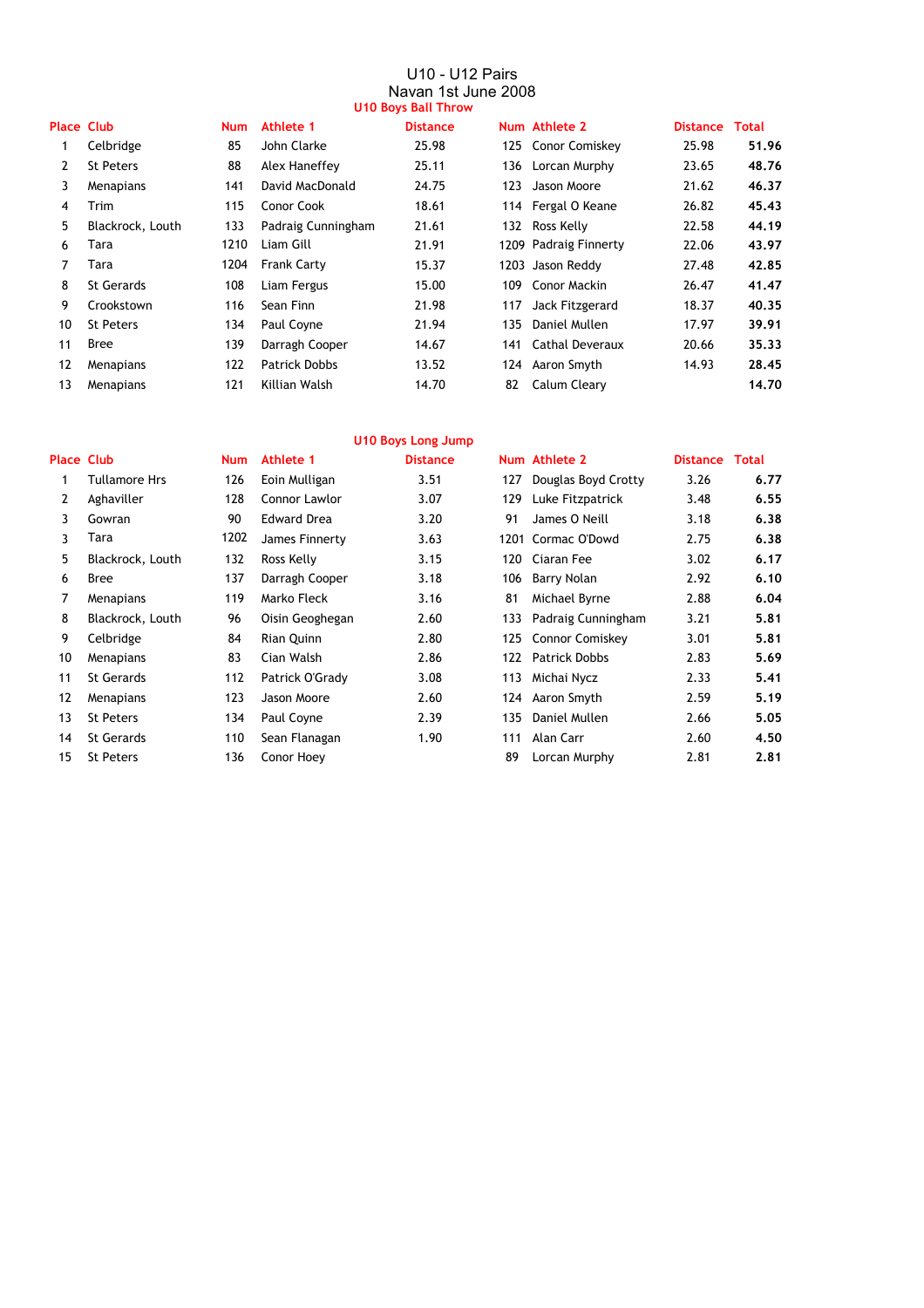#### U10 - U12 Pairs Navan 1st June 2008 **U10 Boys Ball Throw**

| <b>Place Club</b> |                  | <b>Num</b> | Athlete 1            | <b>Distance</b> |     | Num Athlete 2         | <b>Distance</b> | Total |
|-------------------|------------------|------------|----------------------|-----------------|-----|-----------------------|-----------------|-------|
|                   | Celbridge        | 85         | John Clarke          | 25.98           |     | 125 Conor Comiskey    | 25.98           | 51.96 |
| 2                 | <b>St Peters</b> | 88         | Alex Haneffey        | 25.11           |     | 136 Lorcan Murphy     | 23.65           | 48.76 |
| 3                 | Menapians        | 141        | David MacDonald      | 24.75           | 123 | Jason Moore           | 21.62           | 46.37 |
| 4                 | Trim             | 115        | Conor Cook           | 18.61           |     | 114 Fergal O Keane    | 26.82           | 45,43 |
| 5                 | Blackrock, Louth | 133        | Padraig Cunningham   | 21.61           |     | 132 Ross Kelly        | 22.58           | 44.19 |
| 6                 | Tara             | 1210       | Liam Gill            | 21.91           |     | 1209 Padraig Finnerty | 22.06           | 43.97 |
| 7                 | Tara             | 1204       | <b>Frank Carty</b>   | 15.37           |     | 1203 Jason Reddy      | 27.48           | 42.85 |
| 8                 | St Gerards       | 108        | Liam Fergus          | 15.00           | 109 | Conor Mackin          | 26.47           | 41.47 |
| 9                 | Crookstown       | 116        | Sean Finn            | 21.98           | 117 | Jack Fitzgerard       | 18.37           | 40.35 |
| 10                | <b>St Peters</b> | 134        | Paul Coyne           | 21.94           | 135 | Daniel Mullen         | 17.97           | 39.91 |
| 11                | <b>Bree</b>      | 139        | Darragh Cooper       | 14.67           | 141 | Cathal Deveraux       | 20.66           | 35.33 |
| 12                | Menapians        | 122        | <b>Patrick Dobbs</b> | 13.52           |     | 124 Aaron Smyth       | 14.93           | 28.45 |
| 13                | Menapians        | 121        | Killian Walsh        | 14.70           | 82  | Calum Cleary          |                 | 14.70 |

|                   | <b>U10 Boys Long Jump</b> |            |                    |                 |     |                        |                       |      |  |  |  |  |  |
|-------------------|---------------------------|------------|--------------------|-----------------|-----|------------------------|-----------------------|------|--|--|--|--|--|
| <b>Place Club</b> |                           | <b>Num</b> | Athlete 1          | <b>Distance</b> |     | Num Athlete 2          | <b>Distance Total</b> |      |  |  |  |  |  |
|                   | Tullamore Hrs             | 126        | Eoin Mulligan      | 3.51            | 127 | Douglas Boyd Crotty    | 3.26                  | 6.77 |  |  |  |  |  |
| $\mathbf{2}$      | Aghaviller                | 128        | Connor Lawlor      | 3.07            | 129 | Luke Fitzpatrick       | 3.48                  | 6.55 |  |  |  |  |  |
| 3                 | Gowran                    | 90         | <b>Edward Drea</b> | 3.20            | 91  | James O Neill          | 3.18                  | 6.38 |  |  |  |  |  |
| 3                 | Tara                      | 1202       | James Finnerty     | 3.63            |     | 1201 Cormac O'Dowd     | 2.75                  | 6.38 |  |  |  |  |  |
| 5                 | Blackrock, Louth          | 132        | Ross Kelly         | 3.15            | 120 | Ciaran Fee             | 3.02                  | 6.17 |  |  |  |  |  |
| 6                 | <b>Bree</b>               | 137        | Darragh Cooper     | 3.18            | 106 | Barry Nolan            | 2.92                  | 6.10 |  |  |  |  |  |
| 7                 | Menapians                 | 119        | Marko Fleck        | 3.16            | 81  | Michael Byrne          | 2.88                  | 6.04 |  |  |  |  |  |
| 8                 | Blackrock, Louth          | 96         | Oisin Geoghegan    | 2.60            | 133 | Padraig Cunningham     | 3.21                  | 5.81 |  |  |  |  |  |
| 9                 | Celbridge                 | 84         | Rian Quinn         | 2.80            | 125 | <b>Connor Comiskey</b> | 3.01                  | 5,81 |  |  |  |  |  |
| 10                | Menapians                 | 83         | Cian Walsh         | 2.86            | 122 | <b>Patrick Dobbs</b>   | 2.83                  | 5.69 |  |  |  |  |  |
| 11                | <b>St Gerards</b>         | 112        | Patrick O'Grady    | 3.08            | 113 | Michai Nycz            | 2.33                  | 5.41 |  |  |  |  |  |
| 12                | Menapians                 | 123        | Jason Moore        | 2.60            |     | 124 Aaron Smyth        | 2.59                  | 5.19 |  |  |  |  |  |
| 13                | <b>St Peters</b>          | 134        | Paul Coyne         | 2.39            | 135 | Daniel Mullen          | 2.66                  | 5.05 |  |  |  |  |  |
| 14                | <b>St Gerards</b>         | 110        | Sean Flanagan      | 1.90            | 111 | Alan Carr              | 2.60                  | 4.50 |  |  |  |  |  |
| 15                | St Peters                 | 136        | Conor Hoey         |                 | 89  | Lorcan Murphy          | 2.81                  | 2.81 |  |  |  |  |  |
|                   |                           |            |                    |                 |     |                        |                       |      |  |  |  |  |  |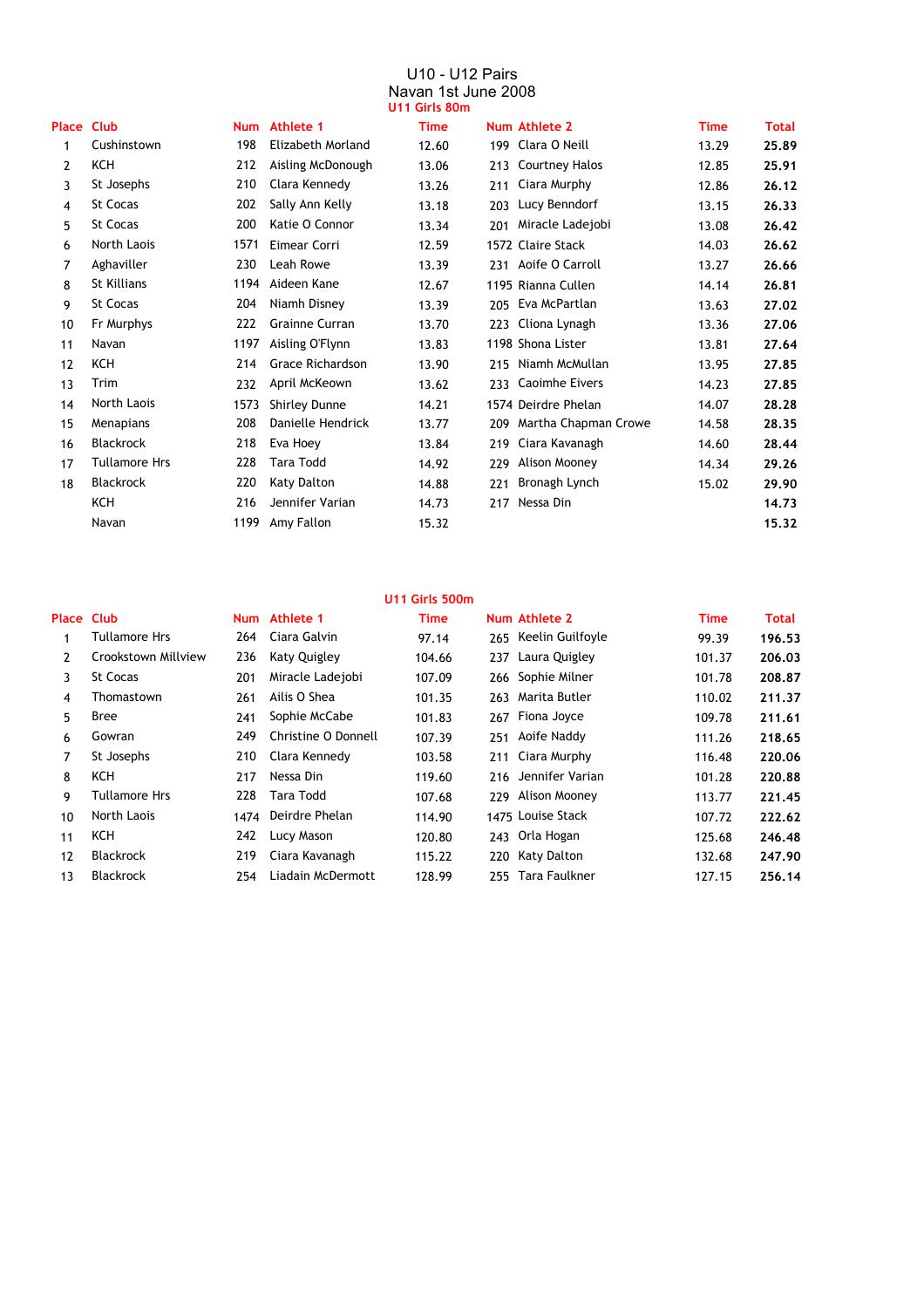#### U10 - U12 Pairs Navan 1st June 2008 **U11 Girls 80m**

|       |                      |            |                         | וווטס צוווט ו ו ט |     |                       |             |       |
|-------|----------------------|------------|-------------------------|-------------------|-----|-----------------------|-------------|-------|
| Place | <b>Club</b>          | <b>Num</b> | <b>Athlete 1</b>        | <b>Time</b>       |     | Num Athlete 2         | <b>Time</b> | Total |
| 1     | Cushinstown          | 198        | Elizabeth Morland       | 12.60             | 199 | Clara O Neill         | 13.29       | 25.89 |
| 2     | KCH                  | 212        | Aisling McDonough       | 13.06             | 213 | <b>Courtney Halos</b> | 12.85       | 25.91 |
| 3     | St Josephs           | 210        | Clara Kennedy           | 13.26             | 211 | Ciara Murphy          | 12.86       | 26.12 |
| 4     | <b>St Cocas</b>      | 202        | Sally Ann Kelly         | 13.18             | 203 | Lucy Benndorf         | 13.15       | 26.33 |
| 5     | <b>St Cocas</b>      | 200        | Katie O Connor          | 13.34             | 201 | Miracle Ladejobi      | 13.08       | 26.42 |
| 6     | North Laois          | 1571       | Eimear Corri            | 12.59             |     | 1572 Claire Stack     | 14.03       | 26.62 |
| 7     | Aghaviller           | 230        | Leah Rowe               | 13.39             | 231 | Aoife O Carroll       | 13.27       | 26.66 |
| 8     | <b>St Killians</b>   | 1194       | Aideen Kane             | 12.67             |     | 1195 Rianna Cullen    | 14.14       | 26.81 |
| 9     | <b>St Cocas</b>      | 204        | Niamh Disney            | 13.39             | 205 | Eva McPartlan         | 13.63       | 27.02 |
| 10    | Fr Murphys           | 222        | <b>Grainne Curran</b>   | 13.70             | 223 | Cliona Lynagh         | 13.36       | 27.06 |
| 11    | Navan                | 1197       | Aisling O'Flynn         | 13.83             |     | 1198 Shona Lister     | 13.81       | 27.64 |
| 12    | <b>KCH</b>           | 214        | <b>Grace Richardson</b> | 13.90             | 215 | Niamh McMullan        | 13.95       | 27.85 |
| 13    | Trim                 | 232        | April McKeown           | 13.62             | 233 | <b>Caoimhe Eivers</b> | 14.23       | 27.85 |
| 14    | North Laois          | 1573       | Shirley Dunne           | 14.21             |     | 1574 Deirdre Phelan   | 14.07       | 28.28 |
| 15    | Menapians            | 208        | Danielle Hendrick       | 13.77             | 209 | Martha Chapman Crowe  | 14.58       | 28.35 |
| 16    | <b>Blackrock</b>     | 218        | Eva Hoey                | 13.84             | 219 | Ciara Kavanagh        | 14.60       | 28.44 |
| 17    | <b>Tullamore Hrs</b> | 228        | <b>Tara Todd</b>        | 14.92             | 229 | Alison Mooney         | 14.34       | 29.26 |
| 18    | <b>Blackrock</b>     | 220        | Katy Dalton             | 14.88             | 221 | Bronagh Lynch         | 15.02       | 29.90 |
|       | KCH                  | 216        | Jennifer Varian         | 14.73             | 217 | Nessa Din             |             | 14.73 |
|       | Navan                | 1199       | Amy Fallon              | 15.32             |     |                       |             | 15,32 |

#### **U11 Girls 500m Place Club Athlete 1 Time Athlete 2 Time Total Num Num** 1 264 Ciara Galvin 97.14 265 99.39 **196.53** Tullamore Hrs Keelin Guilfoyle 2 236 104.66 237 101.37 **206.03** 3 St Cocas 201 107.09 266 101.78 **208.87** Miracle Ladejobi Sophie Milner 4 Thomastown 261 Ailis O Shea 101.35 263 Marita Butler 110.02 **211.37** 5 241 Sophie McCabe 101.83 267 109.78 **211.61** Bree Fiona Joyce 6 249 107.39 251 111.26 **218.65** Gowran Christine O Donnell Aoife Naddy 7 210 Clara Kennedy 103.58 211 Ciara Murphy 116.48 **220.06** 8 KCH 217 119.60 216 Jennifer Varian 101.28 **220.88** 9 228 Tara Todd 107.68 229 Alison Mooney 113.77 **221.45** 10 North Laois 1474 Deirdre Phelan 114.90 1475 Louise Stack 107.72 **222.62** 11 KCH 242 Lucy Mason 120.80 243 125.68 **246.48** 12 219 115.22 220 132.68 **247.90** Blackrock Ciara Kavanagh Katy Dalton 13 254 128.99 255 Tara Faulkner 127.15 **256.14** Blackrock Liadain McDermott236 Katy Quigley St Josephs Nessa Din Tullamore Hrs 243 Orla Hogan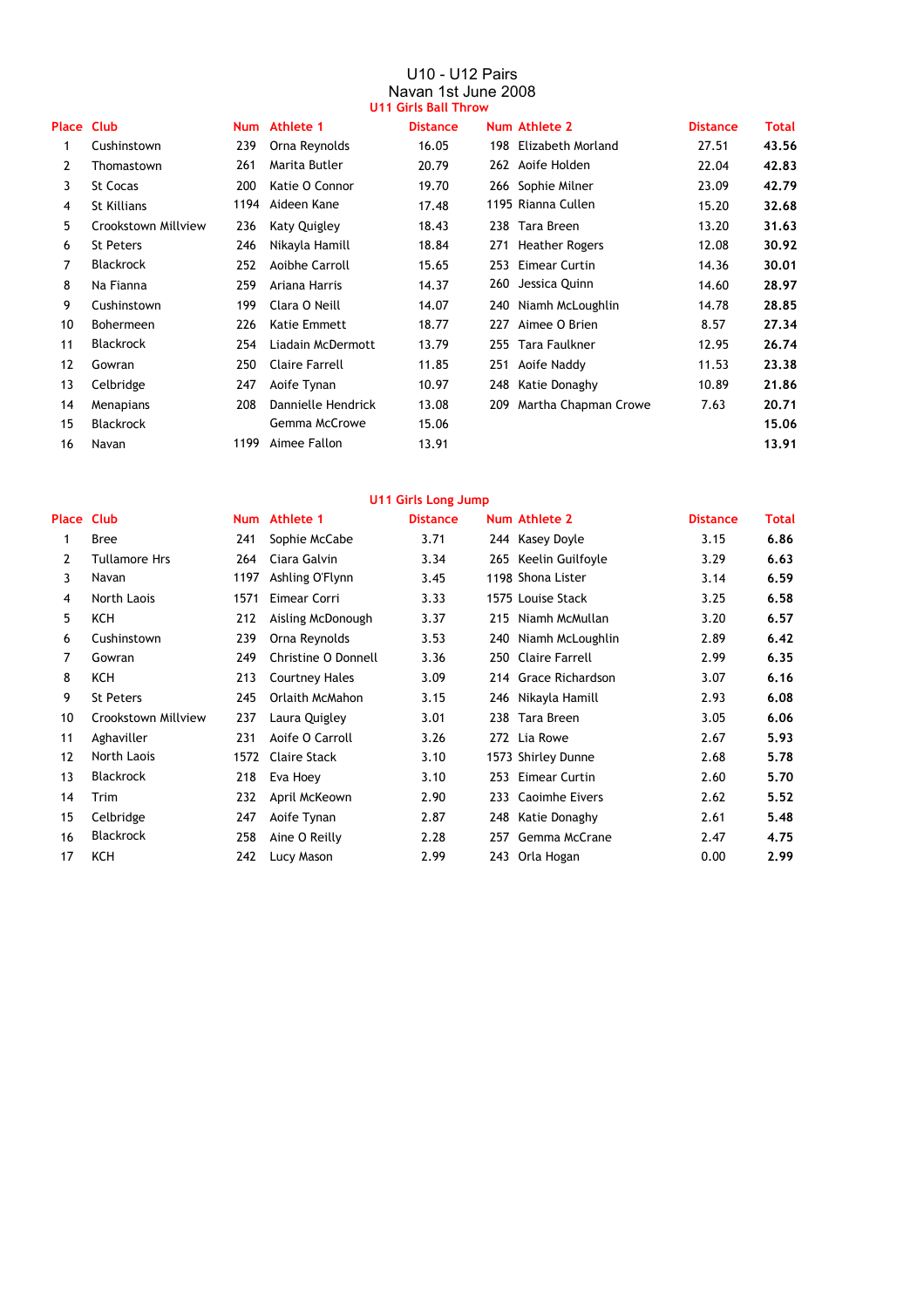#### U10 - U12 Pairs Navan 1st June 2008 **U11 Girls Ball Throw**

|                |                     |      |                       | <u>U I I WILIS DAIL THIUW</u> |     |                       |                 |       |
|----------------|---------------------|------|-----------------------|-------------------------------|-----|-----------------------|-----------------|-------|
| Place Club     |                     |      | Num Athlete 1         | <b>Distance</b>               |     | Num Athlete 2         | <b>Distance</b> | Total |
| 1              | Cushinstown         | 239  | Orna Reynolds         | 16.05                         | 198 | Elizabeth Morland     | 27.51           | 43.56 |
| $\overline{2}$ | Thomastown          | 261  | Marita Butler         | 20.79                         |     | 262 Aoife Holden      | 22.04           | 42.83 |
| 3              | <b>St Cocas</b>     | 200  | Katie O Connor        | 19.70                         |     | 266 Sophie Milner     | 23.09           | 42.79 |
| 4              | St Killians         | 1194 | Aideen Kane           | 17.48                         |     | 1195 Rianna Cullen    | 15.20           | 32.68 |
| 5              | Crookstown Millview | 236  | Katy Quigley          | 18.43                         |     | 238 Tara Breen        | 13.20           | 31.63 |
| 6              | <b>St Peters</b>    | 246  | Nikayla Hamill        | 18.84                         | 271 | <b>Heather Rogers</b> | 12.08           | 30.92 |
| 7              | <b>Blackrock</b>    | 252  | Aoibhe Carroll        | 15.65                         | 253 | Eimear Curtin         | 14.36           | 30,01 |
| 8              | Na Fianna           | 259  | Ariana Harris         | 14.37                         | 260 | Jessica Quinn         | 14.60           | 28.97 |
| 9              | Cushinstown         | 199  | Clara O Neill         | 14.07                         | 240 | Niamh McLoughlin      | 14.78           | 28.85 |
| 10             | <b>Bohermeen</b>    | 226  | Katie Emmett          | 18.77                         | 227 | Aimee O Brien         | 8.57            | 27.34 |
| 11             | <b>Blackrock</b>    | 254  | Liadain McDermott     | 13.79                         |     | 255 Tara Faulkner     | 12.95           | 26.74 |
| 12             | Gowran              | 250  | <b>Claire Farrell</b> | 11.85                         |     | 251 Aoife Naddy       | 11.53           | 23.38 |
| 13             | Celbridge           | 247  | Aoife Tynan           | 10.97                         | 248 | Katie Donaghy         | 10.89           | 21.86 |
| 14             | Menapians           | 208  | Dannielle Hendrick    | 13.08                         | 209 | Martha Chapman Crowe  | 7.63            | 20.71 |
| 15             | <b>Blackrock</b>    |      | Gemma McCrowe         | 15.06                         |     |                       |                 | 15.06 |
| 16             | Navan               | 1199 | Aimee Fallon          | 13.91                         |     |                       |                 | 13.91 |
|                |                     |      |                       |                               |     |                       |                 |       |

### **U11 Girls Long Jump**

| Place | <b>Club</b>          |      | Num Athlete 1         | <b>Distance</b> |     | Num Athlete 2         | <b>Distance</b> | Total |
|-------|----------------------|------|-----------------------|-----------------|-----|-----------------------|-----------------|-------|
| 1     | <b>Bree</b>          | 241  | Sophie McCabe         | 3.71            |     | 244 Kasey Doyle       | 3.15            | 6.86  |
| 2     | <b>Tullamore Hrs</b> | 264  | Ciara Galvin          | 3.34            |     | 265 Keelin Guilfoyle  | 3.29            | 6.63  |
| 3     | Navan                | 1197 | Ashling O'Flynn       | 3.45            |     | 1198 Shona Lister     | 3.14            | 6.59  |
| 4     | North Laois          | 1571 | Eimear Corri          | 3.33            |     | 1575 Louise Stack     | 3.25            | 6.58  |
| 5     | KCH                  | 212  | Aisling McDonough     | 3.37            | 215 | Niamh McMullan        | 3.20            | 6.57  |
| 6     | Cushinstown          | 239  | Orna Reynolds         | 3.53            |     | 240 Niamh McLoughlin  | 2.89            | 6.42  |
| 7     | Gowran               | 249  | Christine O Donnell   | 3.36            | 250 | <b>Claire Farrell</b> | 2.99            | 6.35  |
| 8     | KCH                  | 213  | <b>Courtney Hales</b> | 3.09            |     | 214 Grace Richardson  | 3.07            | 6.16  |
| 9     | <b>St Peters</b>     | 245  | Orlaith McMahon       | 3.15            |     | 246 Nikayla Hamill    | 2.93            | 6.08  |
| 10    | Crookstown Millview  | 237  | Laura Quigley         | 3.01            | 238 | Tara Breen            | 3.05            | 6.06  |
| 11    | Aghaviller           | 231  | Aoife O Carroll       | 3.26            |     | 272 Lia Rowe          | 2.67            | 5.93  |
| 12    | North Laois          | 1572 | <b>Claire Stack</b>   | 3.10            |     | 1573 Shirley Dunne    | 2.68            | 5.78  |
| 13    | <b>Blackrock</b>     | 218  | Eva Hoey              | 3.10            | 253 | Eimear Curtin         | 2.60            | 5.70  |
| 14    | Trim                 | 232  | April McKeown         | 2.90            | 233 | <b>Caoimhe Eivers</b> | 2.62            | 5.52  |
| 15    | Celbridge            | 247  | Aoife Tynan           | 2.87            | 248 | Katie Donaghy         | 2.61            | 5.48  |
| 16    | <b>Blackrock</b>     | 258  | Aine O Reilly         | 2.28            | 257 | Gemma McCrane         | 2.47            | 4.75  |
| 17    | KCH                  | 242  | Lucy Mason            | 2.99            |     | 243 Orla Hogan        | 0.00            | 2.99  |
|       |                      |      |                       |                 |     |                       |                 |       |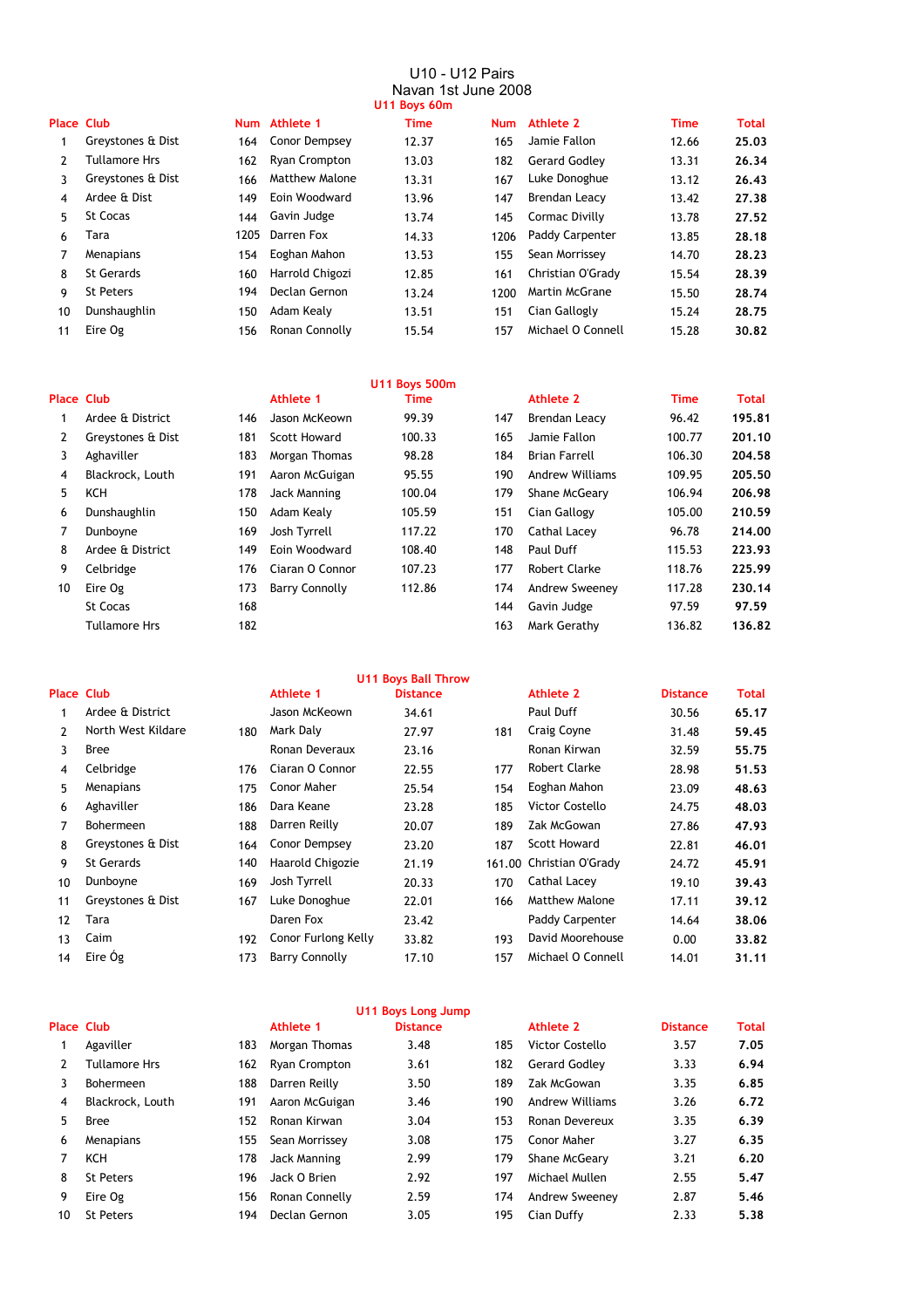#### U10 - U12 Pairs Navan 1st June 2008 **U11 Boys 60m**

| $\sim$ |  |   |  |
|--------|--|---|--|
|        |  | ٠ |  |
|        |  |   |  |
|        |  |   |  |

| <b>Place Club</b> |                      |      | Num Athlete 1         | <b>Time</b> | <b>Num</b> | Athlete 2             | <b>Time</b> | Total |
|-------------------|----------------------|------|-----------------------|-------------|------------|-----------------------|-------------|-------|
|                   | Greystones & Dist    | 164  | Conor Dempsey         | 12.37       | 165        | Jamie Fallon          | 12.66       | 25.03 |
| 2                 | <b>Tullamore Hrs</b> | 162  | <b>Ryan Crompton</b>  | 13.03       | 182        | <b>Gerard Godlev</b>  | 13.31       | 26.34 |
| 3                 | Greystones & Dist    | 166  | <b>Matthew Malone</b> | 13.31       | 167        | Luke Donoghue         | 13.12       | 26.43 |
| 4                 | Ardee & Dist         | 149  | Eoin Woodward         | 13.96       | 147        | <b>Brendan Leacy</b>  | 13.42       | 27.38 |
| 5.                | <b>St Cocas</b>      | 144  | Gavin Judge           | 13.74       | 145        | Cormac Divilly        | 13.78       | 27.52 |
| 6                 | Tara                 | 1205 | Darren Fox            | 14.33       | 1206       | Paddy Carpenter       | 13.85       | 28.18 |
|                   | Menapians            | 154  | Eoghan Mahon          | 13.53       | 155        | Sean Morrissey        | 14.70       | 28.23 |
| 8                 | St Gerards           | 160  | Harrold Chigozi       | 12.85       | 161        | Christian O'Grady     | 15.54       | 28.39 |
| 9                 | <b>St Peters</b>     | 194  | Declan Gernon         | 13.24       | 1200       | <b>Martin McGrane</b> | 15.50       | 28.74 |
| 10                | Dunshaughlin         | 150  | Adam Kealy            | 13.51       | 151        | Cian Gallogly         | 15.24       | 28.75 |
| 11                | Eire Og              | 156  | Ronan Connolly        | 15.54       | 157        | Michael O Connell     | 15.28       | 30.82 |
|                   |                      |      |                       |             |            |                       |             |       |

|                   |                   |     |                       | <b>U11 Boys 500m</b> |     |                        |             |        |
|-------------------|-------------------|-----|-----------------------|----------------------|-----|------------------------|-------------|--------|
| <b>Place Club</b> |                   |     | Athlete 1             | Time                 |     | Athlete 2              | <b>Time</b> | Total  |
|                   | Ardee & District  | 146 | Jason McKeown         | 99.39                | 147 | <b>Brendan Leacy</b>   | 96.42       | 195.81 |
| 2                 | Greystones & Dist | 181 | Scott Howard          | 100.33               | 165 | Jamie Fallon           | 100.77      | 201.10 |
| 3                 | Aghaviller        | 183 | Morgan Thomas         | 98.28                | 184 | <b>Brian Farrell</b>   | 106.30      | 204.58 |
| 4                 | Blackrock, Louth  | 191 | Aaron McGuigan        | 95.55                | 190 | <b>Andrew Williams</b> | 109.95      | 205.50 |
| 5                 | KCH               | 178 | Jack Manning          | 100.04               | 179 | Shane McGeary          | 106.94      | 206.98 |
| 6                 | Dunshaughlin      | 150 | Adam Kealy            | 105.59               | 151 | Cian Gallogy           | 105.00      | 210.59 |
|                   | Dunboyne          | 169 | Josh Tyrrell          | 117.22               | 170 | Cathal Lacey           | 96.78       | 214.00 |
| 8                 | Ardee & District  | 149 | Eoin Woodward         | 108.40               | 148 | Paul Duff              | 115.53      | 223.93 |
| 9                 | Celbridge         | 176 | Ciaran O Connor       | 107.23               | 177 | Robert Clarke          | 118.76      | 225.99 |
| 10                | Eire Og           | 173 | <b>Barry Connolly</b> | 112.86               | 174 | Andrew Sweeney         | 117.28      | 230.14 |
|                   | <b>St Cocas</b>   | 168 |                       |                      | 144 | Gavin Judge            | 97.59       | 97.59  |
|                   | Tullamore Hrs     | 182 |                       |                      | 163 | Mark Gerathy           | 136.82      | 136.82 |
|                   |                   |     |                       |                      |     |                        |             |        |

**U11 Boys Ball Throw**

| <b>Place Club</b> |                    |     | Athlete 1             | <b>Distance</b> |     | Athlete 2                | <b>Distance</b> | Total |
|-------------------|--------------------|-----|-----------------------|-----------------|-----|--------------------------|-----------------|-------|
|                   | Ardee & District   |     | Jason McKeown         | 34.61           |     | Paul Duff                | 30.56           | 65.17 |
| 2                 | North West Kildare | 180 | Mark Daly             | 27.97           | 181 | Craig Coyne              | 31.48           | 59.45 |
| 3                 | <b>Bree</b>        |     | Ronan Deveraux        | 23.16           |     | Ronan Kirwan             | 32.59           | 55.75 |
| 4                 | Celbridge          | 176 | Ciaran O Connor       | 22.55           | 177 | <b>Robert Clarke</b>     | 28.98           | 51.53 |
| 5                 | Menapians          | 175 | Conor Maher           | 25.54           | 154 | Eoghan Mahon             | 23.09           | 48.63 |
| 6                 | Aghaviller         | 186 | Dara Keane            | 23.28           | 185 | Victor Costello          | 24.75           | 48.03 |
| 7                 | <b>Bohermeen</b>   | 188 | Darren Reilly         | 20.07           | 189 | Zak McGowan              | 27.86           | 47.93 |
| 8                 | Greystones & Dist  | 164 | Conor Dempsey         | 23.20           | 187 | <b>Scott Howard</b>      | 22.81           | 46.01 |
| 9                 | <b>St Gerards</b>  | 140 | Haarold Chigozie      | 21.19           |     | 161.00 Christian O'Grady | 24.72           | 45.91 |
| 10                | Dunboyne           | 169 | Josh Tyrrell          | 20.33           | 170 | Cathal Lacey             | 19.10           | 39.43 |
| 11                | Greystones & Dist  | 167 | Luke Donoghue         | 22.01           | 166 | <b>Matthew Malone</b>    | 17.11           | 39.12 |
| 12                | Tara               |     | Daren Fox             | 23.42           |     | Paddy Carpenter          | 14.64           | 38,06 |
| 13                | Caim               | 192 | Conor Furlong Kelly   | 33.82           | 193 | David Moorehouse         | 0.00            | 33.82 |
| 14                | Eire Og            | 173 | <b>Barry Connolly</b> | 17.10           | 157 | Michael O Connell        | 14.01           | 31.11 |
|                   |                    |     |                       |                 |     |                          |                 |       |

|                   |                  |     |                | U11 Boys Long Jump |     |                        |                 |              |
|-------------------|------------------|-----|----------------|--------------------|-----|------------------------|-----------------|--------------|
| <b>Place Club</b> |                  |     | Athlete 1      | <b>Distance</b>    |     | Athlete 2              | <b>Distance</b> | <b>Total</b> |
|                   | Agaviller        | 183 | Morgan Thomas  | 3.48               | 185 | Victor Costello        | 3.57            | 7.05         |
| 2                 | Tullamore Hrs    | 162 | Ryan Crompton  | 3.61               | 182 | <b>Gerard Godley</b>   | 3.33            | 6.94         |
| 3                 | Bohermeen        | 188 | Darren Reilly  | 3.50               | 189 | Zak McGowan            | 3.35            | 6.85         |
| 4                 | Blackrock, Louth | 191 | Aaron McGuigan | 3.46               | 190 | <b>Andrew Williams</b> | 3.26            | 6.72         |
| 5.                | <b>Bree</b>      | 152 | Ronan Kirwan   | 3.04               | 153 | Ronan Devereux         | 3.35            | 6.39         |
| 6                 | Menapians        | 155 | Sean Morrissey | 3.08               | 175 | Conor Maher            | 3.27            | 6.35         |
|                   | KCH              | 178 | Jack Manning   | 2.99               | 179 | Shane McGeary          | 3.21            | 6.20         |
| 8                 | <b>St Peters</b> | 196 | Jack O Brien   | 2.92               | 197 | Michael Mullen         | 2.55            | 5.47         |
| 9                 | Eire Og          | 156 | Ronan Connelly | 2.59               | 174 | Andrew Sweenev         | 2.87            | 5.46         |
| 10                | <b>St Peters</b> | 194 | Declan Gernon  | 3.05               | 195 | Cian Duffy             | 2.33            | 5.38         |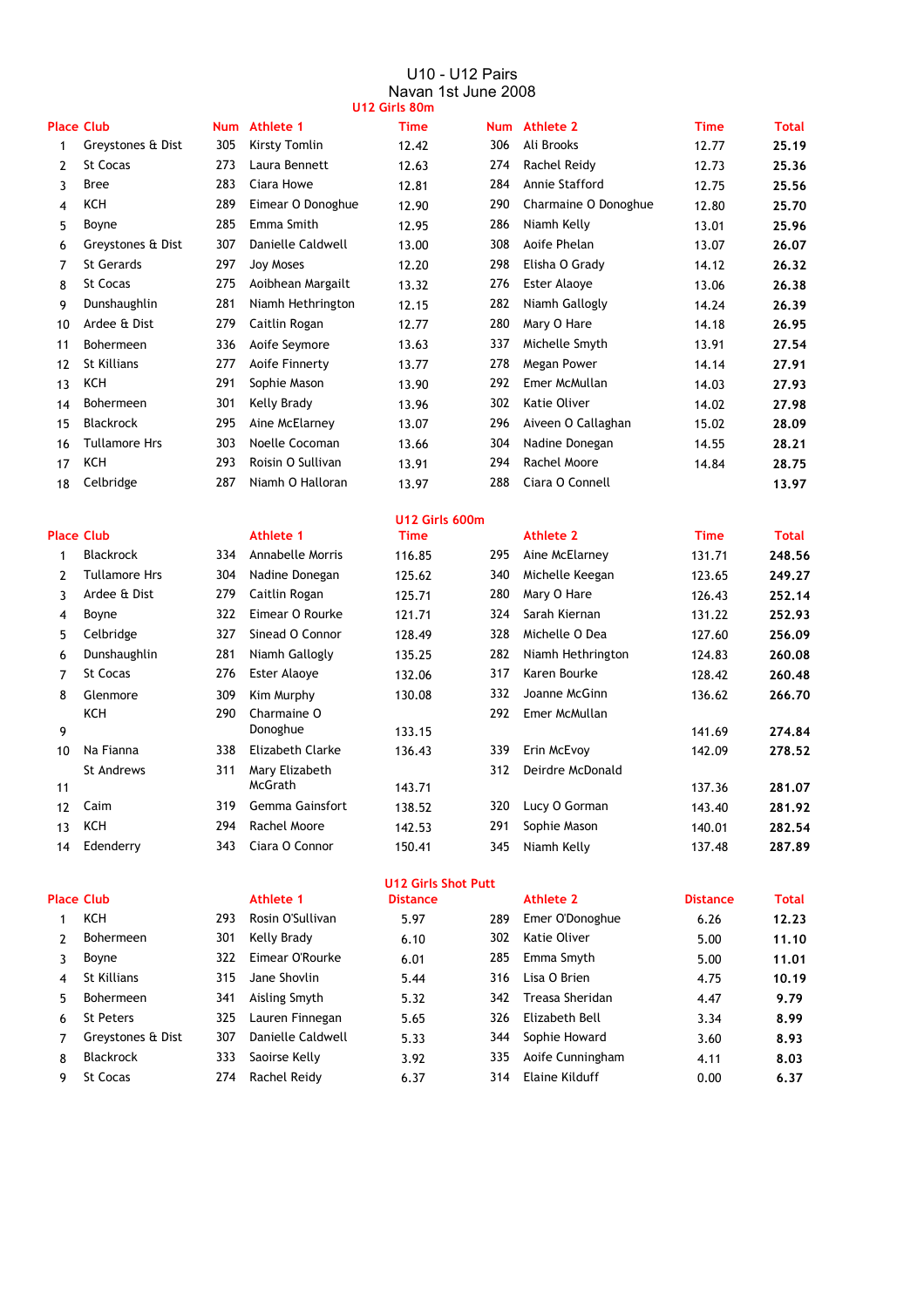#### U10 - U12 Pairs Navan 1st June 2008 **U12 Girls 80m**

| <b>Place Club</b> |                      |     | Num Athlete 1     | <b>Time</b>    | <b>Num</b> | Athlete 2            | <b>Time</b> | <b>Total</b> |
|-------------------|----------------------|-----|-------------------|----------------|------------|----------------------|-------------|--------------|
| 1                 | Greystones & Dist    | 305 | Kirsty Tomlin     | 12.42          | 306        | Ali Brooks           | 12.77       | 25.19        |
| 2                 | St Cocas             | 273 | Laura Bennett     | 12.63          | 274        | Rachel Reidy         | 12.73       | 25.36        |
| 3                 | <b>Bree</b>          | 283 | Ciara Howe        | 12.81          | 284        | Annie Stafford       | 12.75       | 25.56        |
| 4                 | KCH                  | 289 | Eimear O Donoghue | 12.90          | 290        | Charmaine O Donoghue | 12.80       | 25.70        |
| 5                 | Boyne                | 285 | Emma Smith        | 12.95          | 286        | Niamh Kelly          | 13.01       | 25.96        |
| 6                 | Greystones & Dist    | 307 | Danielle Caldwell | 13.00          | 308        | Aoife Phelan         | 13.07       | 26.07        |
| 7                 | St Gerards           | 297 | Joy Moses         | 12.20          | 298        | Elisha O Grady       | 14.12       | 26.32        |
| 8                 | St Cocas             | 275 | Aoibhean Margailt | 13.32          | 276        | <b>Ester Alaove</b>  | 13.06       | 26.38        |
| 9                 | Dunshaughlin         | 281 | Niamh Hethrington | 12.15          | 282        | Niamh Gallogly       | 14.24       | 26.39        |
| 10                | Ardee & Dist         | 279 | Caitlin Rogan     | 12.77          | 280        | Mary O Hare          | 14.18       | 26.95        |
| 11                | <b>Bohermeen</b>     | 336 | Aoife Seymore     | 13.63          | 337        | Michelle Smyth       | 13.91       | 27.54        |
| 12                | <b>St Killians</b>   | 277 | Aoife Finnerty    | 13.77          | 278        | Megan Power          | 14.14       | 27.91        |
| 13                | <b>KCH</b>           | 291 | Sophie Mason      | 13.90          | 292        | Emer McMullan        | 14.03       | 27.93        |
| 14                | Bohermeen            | 301 | Kelly Brady       | 13.96          | 302        | Katie Oliver         | 14.02       | 27.98        |
| 15                | <b>Blackrock</b>     | 295 | Aine McElarney    | 13.07          | 296        | Aiveen O Callaghan   | 15.02       | 28.09        |
| 16                | <b>Tullamore Hrs</b> | 303 | Noelle Cocoman    | 13.66          | 304        | Nadine Donegan       | 14.55       | 28.21        |
| 17                | <b>KCH</b>           | 293 | Roisin O Sullivan | 13.91          | 294        | Rachel Moore         | 14.84       | 28.75        |
| 18                | Celbridge            | 287 | Niamh O Halloran  | 13.97          | 288        | Ciara O Connell      |             | 13.97        |
|                   |                      |     |                   | U12 Girls 600m |            |                      |             |              |

| <b>Place Club</b> |                  |      | Athlete 1           | <b>Time</b> |     | Athlete 2         | <b>Time</b> | Total  |
|-------------------|------------------|------|---------------------|-------------|-----|-------------------|-------------|--------|
|                   | <b>Blackrock</b> | 334  | Annabelle Morris    | 116.85      | 295 | Aine McElarney    | 131.71      | 248.56 |
| $\mathcal{P}$     | Tullamore Hrs    | 304  | Nadine Donegan      | 125.62      | 340 | Michelle Keegan   | 123.65      | 249.27 |
| 3                 | Ardee & Dist     | 279  | Caitlin Rogan       | 125.71      | 280 | Mary O Hare       | 126.43      | 252.14 |
| 4                 | Boyne            | 322. | Eimear O Rourke     | 121.71      | 324 | Sarah Kiernan     | 131.22      | 252.93 |
| 5.                | Celbridge        | 327  | Sinead O Connor     | 128.49      | 328 | Michelle O Dea    | 127.60      | 256.09 |
| 6                 | Dunshaughlin     | 281  | Niamh Gallogly      | 135.25      | 282 | Niamh Hethrington | 124.83      | 260.08 |
| 7                 | <b>St Cocas</b>  | 276  | <b>Ester Alaove</b> | 132.06      | 317 | Karen Bourke      | 128.42      | 260.48 |
| 8                 | Glenmore         | 309  | Kim Murphy          | 130.08      | 332 | Joanne McGinn     | 136.62      | 266.70 |
|                   | KCH              | 290  | Charmaine O         |             | 292 | Emer McMullan     |             |        |
| 9                 |                  |      | Donoghue            | 133.15      |     |                   | 141.69      | 274.84 |
| 10                | Na Fianna        | 338  | Elizabeth Clarke    | 136.43      | 339 | Erin McEvoy       | 142.09      | 278.52 |
|                   | St Andrews       | 311  | Mary Elizabeth      |             | 312 | Deirdre McDonald  |             |        |
| 11                |                  |      | <b>McGrath</b>      | 143.71      |     |                   | 137.36      | 281.07 |
| 12                | Caim             | 319  | Gemma Gainsfort     | 138.52      | 320 | Lucy O Gorman     | 143.40      | 281.92 |
| 13                | KCH              | 294  | Rachel Moore        | 142.53      | 291 | Sophie Mason      | 140.01      | 282.54 |
| 14                | Edenderry        | 343. | Ciara O Connor      | 150.41      | 345 | Niamh Kelly       | 137.48      | 287.89 |

| 1 | ксн               |
|---|-------------------|
| 2 | Bohermeen         |
| 3 | Boyne             |
| 4 | St Killians       |
| 5 | Bohermeen         |
| 6 | St Peters         |
| 7 | Greystones & Dist |
| 8 | Blackrock         |
| ົ | $5 +$ Cocas       |

## **U12 Girls Shot Putt**

| <b>Place Club</b> |                   |     | Athlete 1         | <b>Distance</b> |     | Athlete 2        | <b>Distance</b> | <b>Total</b> |
|-------------------|-------------------|-----|-------------------|-----------------|-----|------------------|-----------------|--------------|
|                   | KCH               | 293 | Rosin O'Sullivan  | 5.97            | 289 | Emer O'Donoghue  | 6.26            | 12.23        |
|                   | <b>Bohermeen</b>  | 301 | Kelly Brady       | 6.10            | 302 | Katie Oliver     | 5.00            | 11.10        |
|                   | Boyne             | 322 | Eimear O'Rourke   | 6.01            | 285 | Emma Smyth       | 5.00            | 11.01        |
| 4                 | St Killians       | 315 | Jane Shovlin      | 5.44            | 316 | Lisa O Brien     | 4.75            | 10.19        |
| 5.                | Bohermeen         | 341 | Aisling Smyth     | 5.32            | 342 | Treasa Sheridan  | 4.47            | 9.79         |
| 6                 | <b>St Peters</b>  | 325 | Lauren Finnegan   | 5.65            | 326 | Elizabeth Bell   | 3.34            | 8.99         |
|                   | Greystones & Dist | 307 | Danielle Caldwell | 5.33            | 344 | Sophie Howard    | 3.60            | 8.93         |
| 8                 | <b>Blackrock</b>  | 333 | Saoirse Kelly     | 3.92            | 335 | Aoife Cunningham | 4.11            | 8.03         |
| 9                 | St Cocas          | 274 | Rachel Reidy      | 6.37            | 314 | Elaine Kilduff   | 0.00            | 6.37         |
|                   |                   |     |                   |                 |     |                  |                 |              |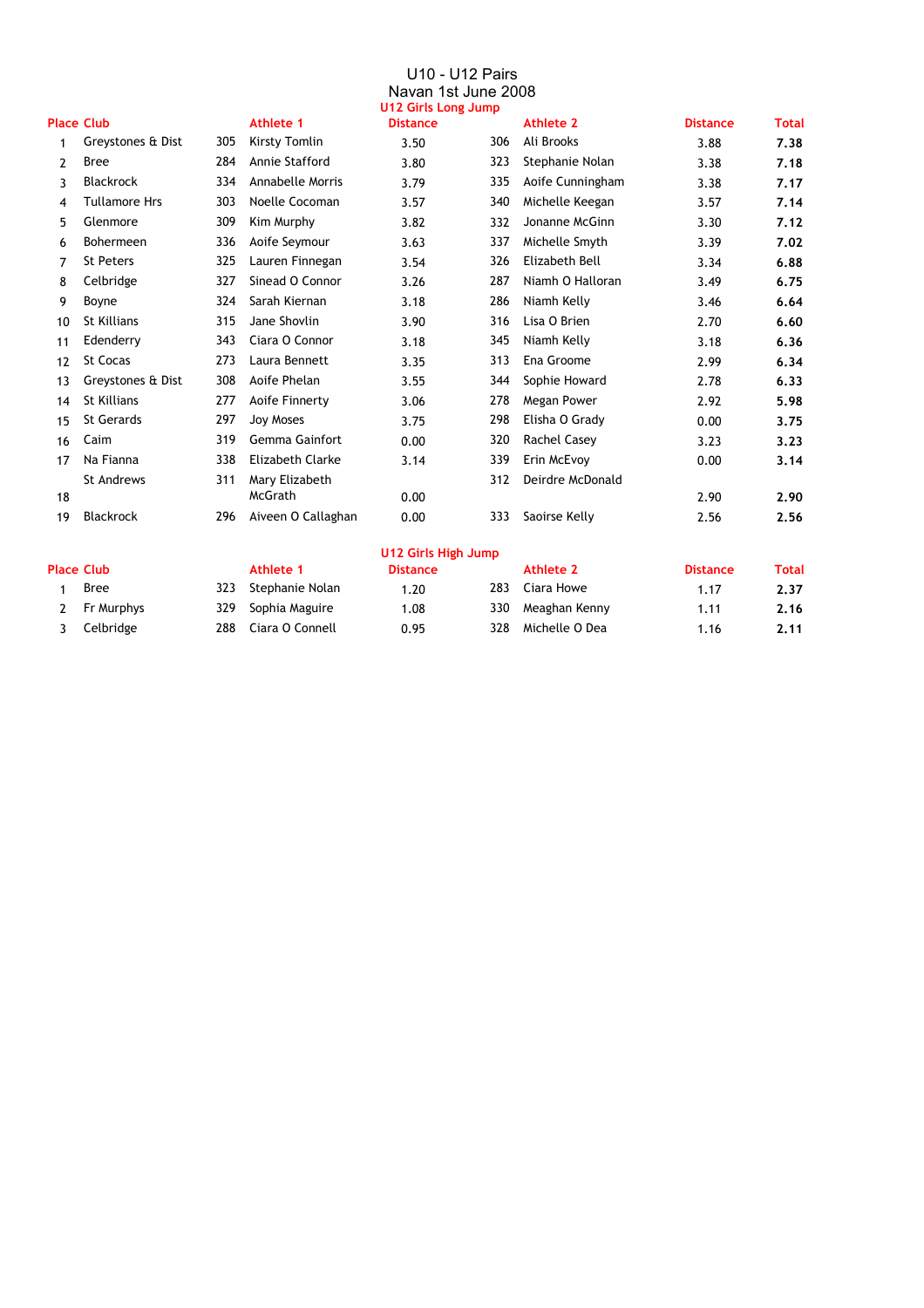#### U10 - U12 Pairs Navan 1st June 2008 **U12 Girls Long Jump**

|    |                      |     |                         | U12 Girls Long Jump |     |                  |                 |              |
|----|----------------------|-----|-------------------------|---------------------|-----|------------------|-----------------|--------------|
|    | <b>Place Club</b>    |     | <b>Athlete 1</b>        | <b>Distance</b>     |     | Athlete 2        | <b>Distance</b> | <b>Total</b> |
| 1  | Greystones & Dist    | 305 | Kirsty Tomlin           | 3.50                | 306 | Ali Brooks       | 3.88            | 7.38         |
| 2  | <b>Bree</b>          | 284 | Annie Stafford          | 3.80                | 323 | Stephanie Nolan  | 3.38            | 7.18         |
| 3  | <b>Blackrock</b>     | 334 | <b>Annabelle Morris</b> | 3.79                | 335 | Aoife Cunningham | 3.38            | 7.17         |
| 4  | <b>Tullamore Hrs</b> | 303 | Noelle Cocoman          | 3.57                | 340 | Michelle Keegan  | 3.57            | 7.14         |
| 5  | Glenmore             | 309 | Kim Murphy              | 3.82                | 332 | Jonanne McGinn   | 3.30            | 7.12         |
| 6  | <b>Bohermeen</b>     | 336 | Aoife Seymour           | 3.63                | 337 | Michelle Smyth   | 3.39            | 7.02         |
| 7  | <b>St Peters</b>     | 325 | Lauren Finnegan         | 3.54                | 326 | Elizabeth Bell   | 3.34            | 6.88         |
| 8  | Celbridge            | 327 | Sinead O Connor         | 3.26                | 287 | Niamh O Halloran | 3.49            | 6.75         |
| 9  | Boyne                | 324 | Sarah Kiernan           | 3.18                | 286 | Niamh Kelly      | 3.46            | 6.64         |
| 10 | <b>St Killians</b>   | 315 | Jane Shovlin            | 3.90                | 316 | Lisa O Brien     | 2.70            | 6.60         |
| 11 | Edenderry            | 343 | Ciara O Connor          | 3.18                | 345 | Niamh Kelly      | 3.18            | 6.36         |
| 12 | St Cocas             | 273 | Laura Bennett           | 3.35                | 313 | Ena Groome       | 2.99            | 6.34         |
| 13 | Greystones & Dist    | 308 | Aoife Phelan            | 3.55                | 344 | Sophie Howard    | 2.78            | 6.33         |
| 14 | St Killians          | 277 | Aoife Finnerty          | 3.06                | 278 | Megan Power      | 2.92            | 5.98         |
| 15 | <b>St Gerards</b>    | 297 | <b>Joy Moses</b>        | 3.75                | 298 | Elisha O Grady   | 0.00            | 3.75         |
| 16 | Caim                 | 319 | <b>Gemma Gainfort</b>   | 0.00                | 320 | Rachel Casey     | 3.23            | 3.23         |
| 17 | Na Fianna            | 338 | <b>Elizabeth Clarke</b> | 3.14                | 339 | Erin McEvoy      | 0.00            | 3.14         |
|    | <b>St Andrews</b>    | 311 | Mary Elizabeth          |                     | 312 | Deirdre McDonald |                 |              |
| 18 |                      |     | McGrath                 | 0.00                |     |                  | 2.90            | 2.90         |
| 19 | <b>Blackrock</b>     | 296 | Aiveen O Callaghan      | 0.00                | 333 | Saoirse Kelly    | 2.56            | 2.56         |
|    |                      |     |                         |                     |     |                  |                 |              |

## **U12 Girls High Jump**

| Place Club  |     | Athlete 1           | <b>Distance</b> |     | Athlete 2         | <b>Distance</b> | Total |
|-------------|-----|---------------------|-----------------|-----|-------------------|-----------------|-------|
| <b>Bree</b> |     | 323 Stephanie Nolan | 1.20            |     | 283 Ciara Howe    | 1.17            | 2.37  |
| Fr Murphys  |     | 329 Sophia Maguire  | 08. ا           |     | 330 Meaghan Kenny | 1.11            | 2.16  |
| 3 Celbridge | 288 | Ciara O Connell     | 0.95            | 328 | Michelle O Dea    | $^{\circ}$ .16  | 2.11  |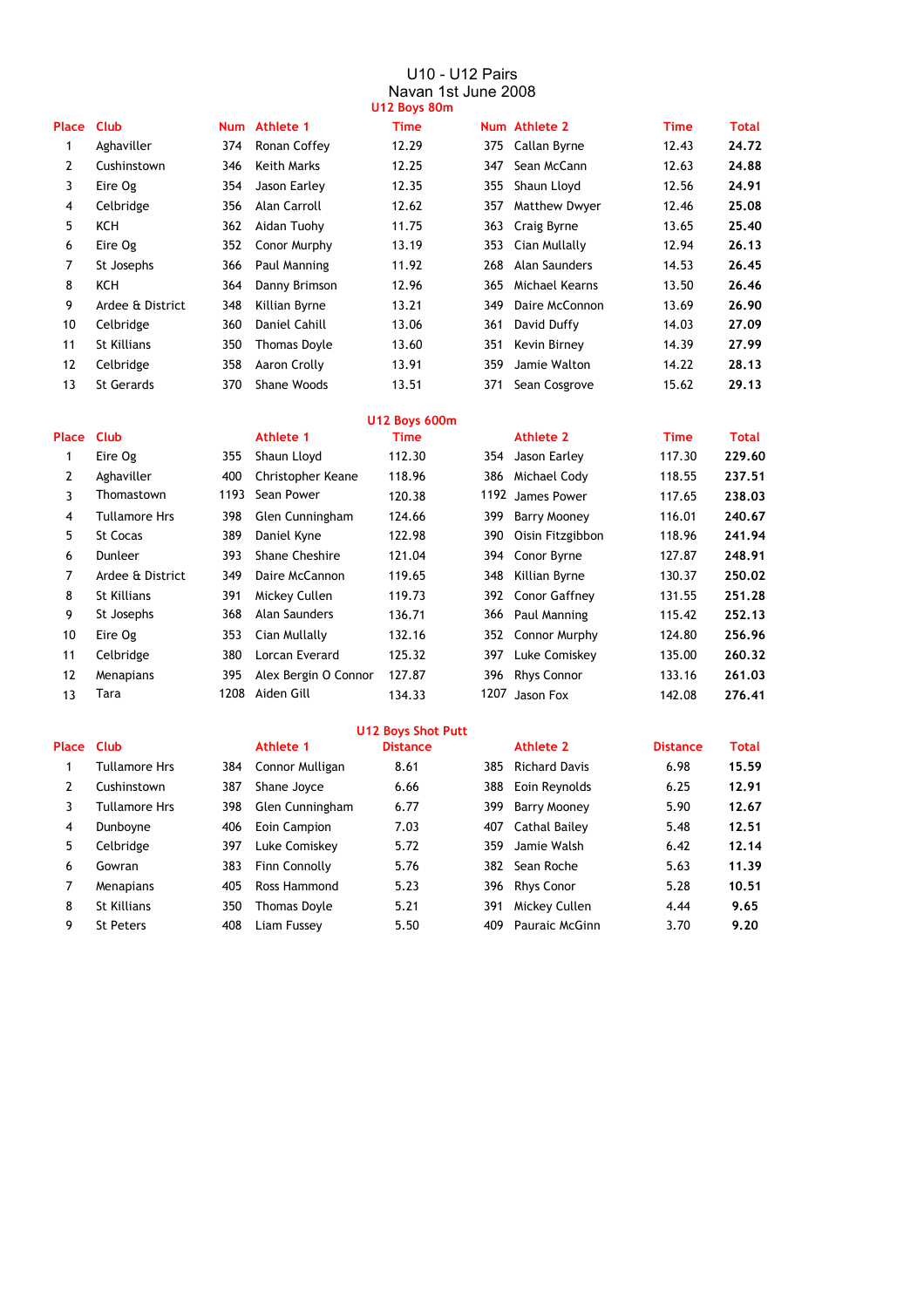#### U10 - U12 Pairs Navan 1st June 2008 **U12 Boys 80m**

|                |                   |     |                     | <b>UILUUS</b> UUIII  |     |                      |             |              |
|----------------|-------------------|-----|---------------------|----------------------|-----|----------------------|-------------|--------------|
| Place          | <b>Club</b>       |     | Num Athlete 1       | <b>Time</b>          |     | Num Athlete 2        | <b>Time</b> | <b>Total</b> |
| 1              | Aghaviller        | 374 | Ronan Coffey        | 12.29                |     | 375 Callan Byrne     | 12.43       | 24.72        |
| $\overline{2}$ | Cushinstown       | 346 | Keith Marks         | 12.25                | 347 | Sean McCann          | 12.63       | 24.88        |
| 3              | Eire Og           | 354 | Jason Earley        | 12.35                | 355 | Shaun Lloyd          | 12.56       | 24.91        |
| 4              | Celbridge         | 356 | Alan Carroll        | 12.62                | 357 | <b>Matthew Dwyer</b> | 12.46       | 25,08        |
| 5              | KCH               | 362 | Aidan Tuohy         | 11.75                |     | 363 Craig Byrne      | 13.65       | 25,40        |
| 6              | Eire Og           | 352 | Conor Murphy        | 13.19                | 353 | Cian Mullally        | 12.94       | 26.13        |
| 7              | St Josephs        | 366 | Paul Manning        | 11.92                | 268 | Alan Saunders        | 14.53       | 26.45        |
| 8              | KCH               | 364 | Danny Brimson       | 12.96                | 365 | Michael Kearns       | 13.50       | 26.46        |
| 9              | Ardee & District  | 348 | Killian Byrne       | 13.21                | 349 | Daire McConnon       | 13.69       | 26.90        |
| 10             | Celbridge         | 360 | Daniel Cahill       | 13.06                | 361 | David Duffy          | 14.03       | 27.09        |
| 11             | St Killians       | 350 | <b>Thomas Doyle</b> | 13.60                | 351 | Kevin Birney         | 14.39       | 27.99        |
| 12             | Celbridge         | 358 | Aaron Crolly        | 13.91                | 359 | Jamie Walton         | 14.22       | 28.13        |
| 13             | <b>St Gerards</b> | 370 | Shane Woods         | 13.51                | 371 | Sean Cosgrove        | 15.62       | 29.13        |
|                |                   |     |                     | <b>U12 Boys 600m</b> |     |                      |             |              |

| <b>Place Club</b> |      | <b>Athlete 1</b>      | <b>Time</b> |     | Athlete 2           | <b>Time</b>                                                                                                                 | <b>Total</b> |
|-------------------|------|-----------------------|-------------|-----|---------------------|-----------------------------------------------------------------------------------------------------------------------------|--------------|
| Eire Og           | 355  | Shaun Lloyd           | 112.30      |     | Jason Earley        | 117.30                                                                                                                      | 229.60       |
| Aghaviller        | 400  | Christopher Keane     | 118.96      | 386 | Michael Cody        | 118.55                                                                                                                      | 237.51       |
| Thomastown        | 1193 | Sean Power            | 120.38      |     | James Power         | 117.65                                                                                                                      | 238.03       |
| Tullamore Hrs     | 398  | Glen Cunningham       | 124.66      | 399 | <b>Barry Mooney</b> | 116.01                                                                                                                      | 240.67       |
| St Cocas          | 389  | Daniel Kyne           | 122.98      |     | Oisin Fitzgibbon    | 118.96                                                                                                                      | 241.94       |
| Dunleer           | 393  | <b>Shane Cheshire</b> | 121.04      |     |                     | 127.87                                                                                                                      | 248.91       |
| Ardee & District  | 349  | Daire McCannon        | 119.65      |     |                     | 130.37                                                                                                                      | 250.02       |
| St Killians       | 391  | Mickey Cullen         | 119.73      |     |                     | 131.55                                                                                                                      | 251.28       |
| St Josephs        | 368  | Alan Saunders         | 136.71      | 366 |                     | 115.42                                                                                                                      | 252.13       |
| Eire Og           | 353  | Cian Mullally         | 132.16      |     |                     | 124.80                                                                                                                      | 256.96       |
| Celbridge         | 380  | Lorcan Everard        | 125.32      | 397 | Luke Comiskey       | 135.00                                                                                                                      | 260.32       |
| Menapians         | 395  | Alex Bergin O Connor  | 127.87      | 396 | <b>Rhys Connor</b>  | 133.16                                                                                                                      | 261.03       |
| Tara              | 1208 | Aiden Gill            | 134.33      |     | Jason Fox           | 142.08                                                                                                                      | 276.41       |
|                   |      |                       |             |     | 390                 | 354<br>1192<br>Conor Byrne<br>394<br>Killian Byrne<br>348<br>392 Conor Gaffney<br>Paul Manning<br>352 Connor Murphy<br>1207 |              |

| <b>Place</b> | Clut |
|--------------|------|
|              |      |

| 1 | <b>Tullamore Hrs</b> |
|---|----------------------|
| 2 | Cushinstown          |
| 3 | Tullamore Hrs        |
| 4 | Dunboyne             |
| 5 | Celbridge            |
| 6 | Gowran               |
| 7 | Menapians            |
| 8 | St Killians          |
| g | <b>St Peters</b>     |
|   |                      |

# **U12 Boys Shot Putt**

| Tullamore Hrs    |     | 384 Connor Mulligan | 8.61 |     | 385 Richard Davis |
|------------------|-----|---------------------|------|-----|-------------------|
| Cushinstown      | 387 | Shane Joyce         | 6.66 |     | 388 Eoin Reynolds |
| Tullamore Hrs    | 398 | Glen Cunningham     | 6.77 |     | 399 Barry Mooney  |
| Dunboyne         | 406 | Eoin Campion        | 7.03 |     | 407 Cathal Bailey |
| Celbridge        | 397 | Luke Comiskey       | 5.72 |     | 359 Jamie Walsh   |
| Gowran           | 383 | Finn Connolly       | 5.76 |     | 382 Sean Roche    |
| Menapians        | 405 | Ross Hammond        | 5.23 |     | 396 Rhys Conor    |
| St Killians      | 350 | <b>Thomas Doyle</b> | 5.21 |     | 391 Mickey Cullen |
| <b>St Peters</b> | 408 | Liam Fussey         | 5.50 | 409 | Pauraic McGinn    |
|                  |     |                     |      |     |                   |

|    | ace Club             |     | Athlete 1       | <b>Distance</b> |     | Athlete 2         | <b>Distance</b> | <b>Total</b> |
|----|----------------------|-----|-----------------|-----------------|-----|-------------------|-----------------|--------------|
| 1  | <b>Tullamore Hrs</b> | 384 | Connor Mulligan | 8.61            |     | 385 Richard Davis | 6.98            | 15.59        |
| 2  | Cushinstown          | 387 | Shane Joyce     | 6.66            |     | 388 Eoin Reynolds | 6.25            | 12.91        |
| 3  | <b>Tullamore Hrs</b> | 398 | Glen Cunningham | 6.77            |     | 399 Barry Mooney  | 5.90            | 12.67        |
| 4  | Dunboyne             | 406 | Eoin Campion    | 7.03            |     | 407 Cathal Bailey | 5.48            | 12.51        |
| 5  | Celbridge            | 397 | Luke Comiskey   | 5.72            |     | 359 Jamie Walsh   | 6.42            | 12.14        |
| 6. | Gowran               | 383 | Finn Connolly   | 5.76            |     | 382 Sean Roche    | 5.63            | 11.39        |
|    | Menapians            | 405 | Ross Hammond    | 5.23            |     | 396 Rhys Conor    | 5.28            | 10.51        |
| 8  | St Killians          | 350 | Thomas Doyle    | 5.21            | 391 | Mickey Cullen     | 4.44            | 9.65         |
| 9  | St Peters            | 408 | Liam Fussey     | 5.50            | 409 | Pauraic McGinn    | 3.70            | 9.20         |
|    |                      |     |                 |                 |     |                   |                 |              |